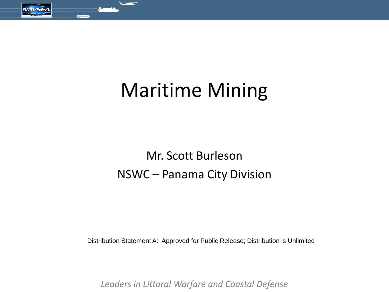

# Maritime Mining

## Mr. Scott Burleson NSWC – Panama City Division

Distribution Statement A: Approved for Public Release; Distribution is Unlimited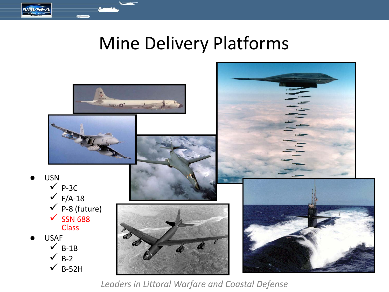## Mine Delivery Platforms

**NAVSEA** 

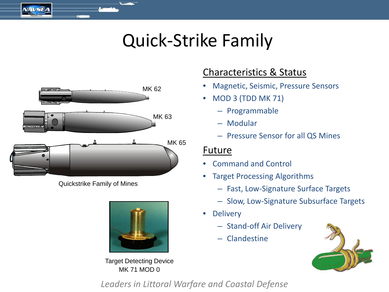## Quick-Strike Family



 $N$ AVSEA

Quickstrike Family of Mines



Target Detecting Device MK 71 MOD 0

## Characteristics & Status

- Magnetic, Seismic, Pressure Sensors
- MOD 3 (TDD MK 71)
	- Programmable
	- Modular
	- Pressure Sensor for all QS Mines

### Future

- Command and Control
- Target Processing Algorithms
	- Fast, Low-Signature Surface Targets
	- Slow, Low-Signature Subsurface Targets
- Delivery
	- Stand-off Air Delivery
	- Clandestine

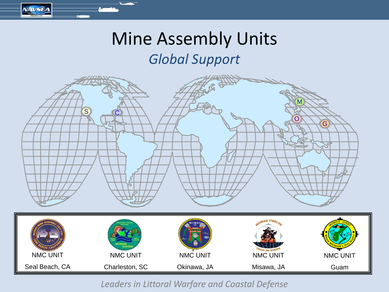## Mine Assembly Units

**NAVSEA** 

## *Global Support*

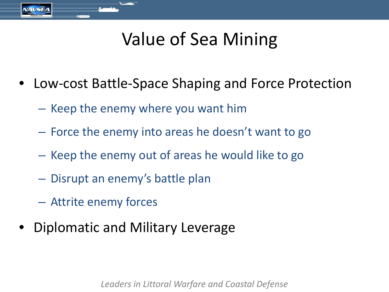# Value of Sea Mining

- Low-cost Battle-Space Shaping and Force Protection
	- Keep the enemy where you want him
	- Force the enemy into areas he doesn't want to go
	- Keep the enemy out of areas he would like to go
	- Disrupt an enemy's battle plan
	- Attrite enemy forces
- Diplomatic and Military Leverage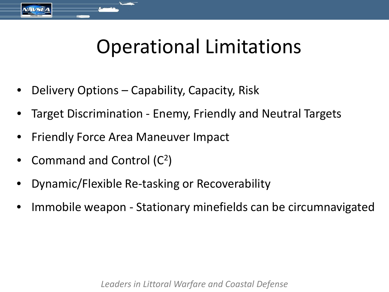# Operational Limitations

- Delivery Options Capability, Capacity, Risk
- Target Discrimination Enemy, Friendly and Neutral Targets
- Friendly Force Area Maneuver Impact
- Command and Control  $(C^2)$
- Dynamic/Flexible Re-tasking or Recoverability
- Immobile weapon Stationary minefields can be circumnavigated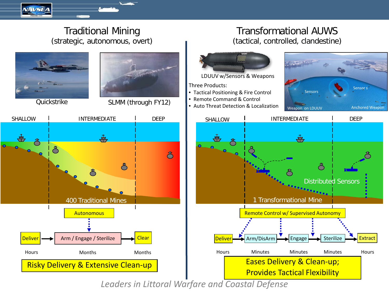

#### Traditional Mining (strategic, autonomous, overt)





Quickstrike SLMM (through FY12)



#### Transformational AUWS (tactical, controlled, clandestine)



LDUUV w/Sensors & Weapons

Three Products:

- Tactical Positioning & Fire Control
- Remote Command & Control
- 



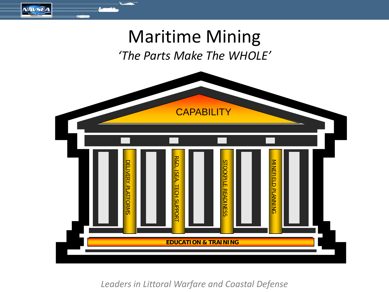

**NAVSEA** 

*'The Parts Make The WHOLE'*